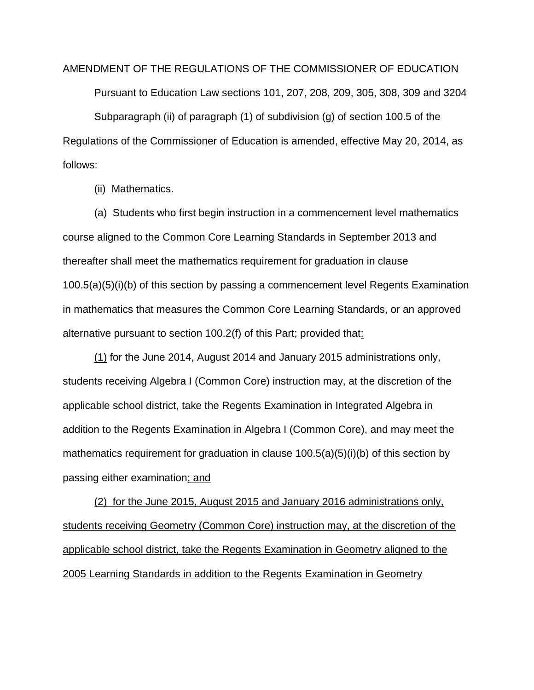AMENDMENT OF THE REGULATIONS OF THE COMMISSIONER OF EDUCATION Pursuant to Education Law sections 101, 207, 208, 209, 305, 308, 309 and 3204 Subparagraph (ii) of paragraph (1) of subdivision (g) of section 100.5 of the Regulations of the Commissioner of Education is amended, effective May 20, 2014, as follows:

(ii) Mathematics.

(a) Students who first begin instruction in a commencement level mathematics course aligned to the Common Core Learning Standards in September 2013 and thereafter shall meet the mathematics requirement for graduation in clause 100.5(a)(5)(i)(b) of this section by passing a commencement level Regents Examination in mathematics that measures the Common Core Learning Standards, or an approved alternative pursuant to section 100.2(f) of this Part; provided that:

(1) for the June 2014, August 2014 and January 2015 administrations only, students receiving Algebra I (Common Core) instruction may, at the discretion of the applicable school district, take the Regents Examination in Integrated Algebra in addition to the Regents Examination in Algebra I (Common Core), and may meet the mathematics requirement for graduation in clause 100.5(a)(5)(i)(b) of this section by passing either examination; and

(2) for the June 2015, August 2015 and January 2016 administrations only, students receiving Geometry (Common Core) instruction may, at the discretion of the applicable school district, take the Regents Examination in Geometry aligned to the 2005 Learning Standards in addition to the Regents Examination in Geometry